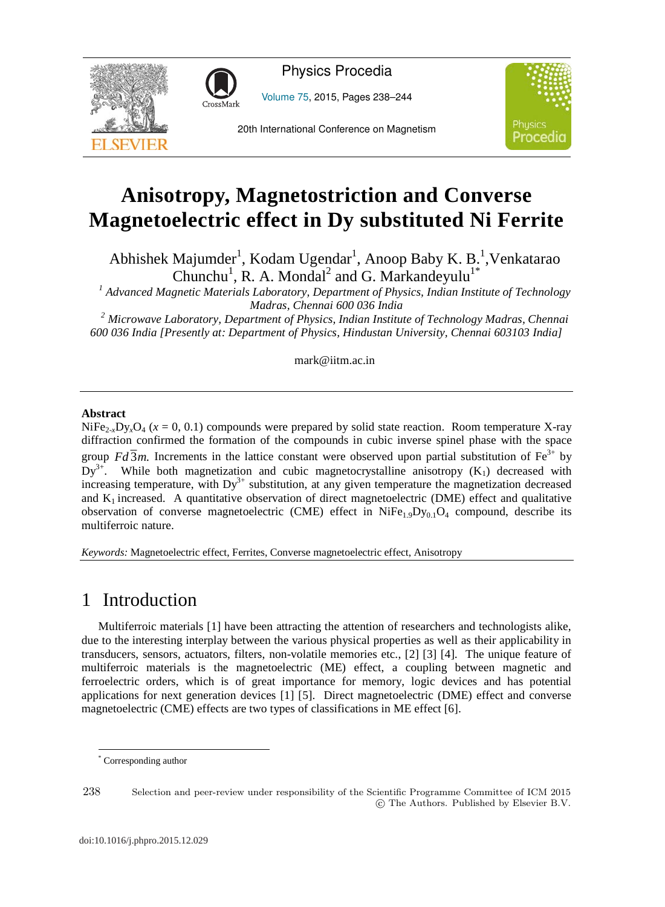



Volume 75, 2015, Pages 238–244





# **Anisotropy, Magnetostriction and Converse Magnetoelectric effect in Dy substituted Ni Ferrite**

Abhishek Majumder<sup>1</sup>, Kodam Ugendar<sup>1</sup>, Anoop Baby K. B.<sup>1</sup>, Venkatarao Chunchu<sup>1</sup>, R. A. Mondal<sup>2</sup> and G. Markandeyulu<sup>1\*</sup>

*1 Advanced Magnetic Materials Laboratory, Department of Physics, Indian Institute of Technology* 

*Madras, Chennai 600 036 India 2 Microwave Laboratory, Department of Physics, Indian Institute of Technology Madras, Chennai 600 036 India [Presently at: Department of Physics, Hindustan University, Chennai 603103 India]* 

mark@iitm.ac.in

#### **Abstract**

 $NiFe<sub>2,x</sub>D<sub>y</sub>xO<sub>4</sub>$  ( $x = 0, 0.1$ ) compounds were prepared by solid state reaction. Room temperature X-ray diffraction confirmed the formation of the compounds in cubic inverse spinel phase with the space group  $Fd\overline{3}m$ . Increments in the lattice constant were observed upon partial substitution of Fe<sup>3+</sup> by  $Dy^{3+}$ . While both magnetization and cubic magnetocrystalline anisotropy  $(K_1)$  decreased with increasing temperature, with  $Dy^{3+}$  substitution, at any given temperature the magnetization decreased and  $K_1$  increased. A quantitative observation of direct magnetoelectric (DME) effect and qualitative observation of converse magnetoelectric (CME) effect in  $N_1Fe_{1.9}D_{V_0.1}O_4$  compound, describe its multiferroic nature.

*Keywords:* Magnetoelectric effect, Ferrites, Converse magnetoelectric effect, Anisotropy

# 1 Introduction

Multiferroic materials [1] have been attracting the attention of researchers and technologists alike, due to the interesting interplay between the various physical properties as well as their applicability in transducers, sensors, actuators, filters, non-volatile memories etc., [2] [3] [4]. The unique feature of multiferroic materials is the magnetoelectric (ME) effect, a coupling between magnetic and ferroelectric orders, which is of great importance for memory, logic devices and has potential applications for next generation devices [1] [5]. Direct magnetoelectric (DME) effect and converse magnetoelectric (CME) effects are two types of classifications in ME effect [6].

-

238 Selection and peer-review under responsibility of the Scientific Programme Committee of ICM 2015 -c The Authors. Published by Elsevier B.V.

<sup>\*</sup> Corresponding author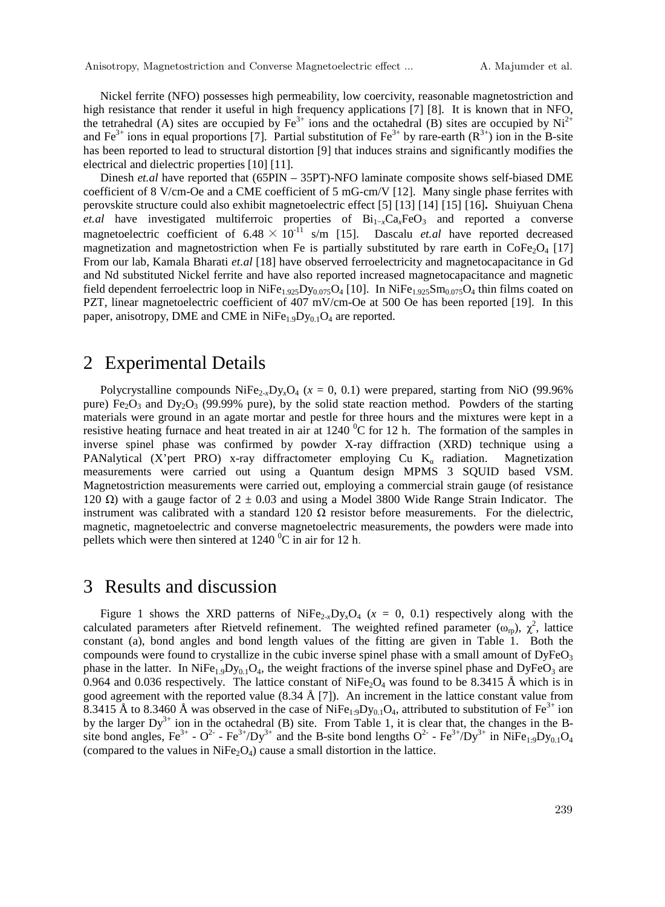Nickel ferrite (NFO) possesses high permeability, low coercivity, reasonable magnetostriction and high resistance that render it useful in high frequency applications [7] [8]. It is known that in NFO, the tetrahedral (A) sites are occupied by  $Fe<sup>3+</sup>$  ions and the octahedral (B) sites are occupied by Ni<sup>2+</sup> and Fe<sup>3+</sup> ions in equal proportions [7]. Partial substitution of Fe<sup>3+</sup> by rare-earth ( $\mathbb{R}^{3+}$ ) ion in the B-site has been reported to lead to structural distortion [9] that induces strains and significantly modifies the electrical and dielectric properties [10] [11].

Dinesh *et.al* have reported that (65PIN – 35PT)-NFO laminate composite shows self-biased DME coefficient of 8 V/cm-Oe and a CME coefficient of 5 mG-cm/V [12]. Many single phase ferrites with perovskite structure could also exhibit magnetoelectric effect [5] [13] [14] [15] [16]**.** Shuiyuan Chena *et.al* have investigated multiferroic properties of  $Bi_{1-x}Ca_xFeO_3$  and reported a converse magnetoelectric coefficient of  $6.48 \times 10^{-11}$  s/m [15]. Dascalu *et.al* have reported decreased magnetization and magnetostriction when Fe is partially substituted by rare earth in  $\text{CoFe}_2\text{O}_4$  [17] From our lab, Kamala Bharati *et.al* [18] have observed ferroelectricity and magnetocapacitance in Gd and Nd substituted Nickel ferrite and have also reported increased magnetocapacitance and magnetic field dependent ferroelectric loop in NiFe<sub>1.925</sub>D<sub>y0.075</sub>O<sub>4</sub> [10]. In NiFe<sub>1.925</sub>Sm<sub>0.075</sub>O<sub>4</sub> thin films coated on PZT, linear magnetoelectric coefficient of 407 mV/cm-Oe at 500 Oe has been reported [19]. In this paper, anisotropy, DME and CME in  $NiFe<sub>1.9</sub>Dy<sub>0.1</sub>O<sub>4</sub>$  are reported.

### 2 Experimental Details

Polycrystalline compounds  $N$ iFe<sub>2x</sub>Dy<sub>x</sub>O<sub>4</sub> ( $x = 0, 0.1$ ) were prepared, starting from NiO (99.96%) pure) Fe<sub>2</sub>O<sub>3</sub> and Dy<sub>2</sub>O<sub>3</sub> (99.99% pure), by the solid state reaction method. Powders of the starting materials were ground in an agate mortar and pestle for three hours and the mixtures were kept in a resistive heating furnace and heat treated in air at  $1240\,^{\circ}$ C for 12 h. The formation of the samples in inverse spinel phase was confirmed by powder X-ray diffraction (XRD) technique using a PANalytical (X'pert PRO) x-ray diffractometer employing Cu  $K_{\alpha}$  radiation. Magnetization measurements were carried out using a Quantum design MPMS 3 SQUID based VSM. Magnetostriction measurements were carried out, employing a commercial strain gauge (of resistance 120  $\Omega$ ) with a gauge factor of 2  $\pm$  0.03 and using a Model 3800 Wide Range Strain Indicator. The instrument was calibrated with a standard 120  $\Omega$  resistor before measurements. For the dielectric, magnetic, magnetoelectric and converse magnetoelectric measurements, the powders were made into pellets which were then sintered at  $1240\degree$ C in air for 12 h.

# 3 Results and discussion

Figure 1 shows the XRD patterns of  $N_1Fe_{2-x}D_yxO_4$  ( $x = 0, 0.1$ ) respectively along with the calculated parameters after Rietveld refinement. The weighted refined parameter  $(\omega_{\rm rp})$ ,  $\chi^2$ , lattice constant (a), bond angles and bond length values of the fitting are given in Table 1. Both the compounds were found to crystallize in the cubic inverse spinel phase with a small amount of  $DyFeO<sub>3</sub>$ phase in the latter. In  $NiFe_{1.9}Dy_{0.1}O_4$ , the weight fractions of the inverse spinel phase and  $DyFeO_3$  are 0.964 and 0.036 respectively. The lattice constant of  $N_1Fe_2O_4$  was found to be 8.3415 Å which is in good agreement with the reported value (8.34 Å [7]). An increment in the lattice constant value from 8.3415 Å to 8.3460 Å was observed in the case of NiFe<sub>1:9</sub>Dy<sub>0.1</sub>O<sub>4</sub>, attributed to substitution of Fe<sup>3+</sup> ion by the larger  $Dy^{3+}$  ion in the octahedral (B) site. From Table 1, it is clear that, the changes in the Bsite bond angles,  $Fe^{3+}$  -  $O^2$  -  $Fe^{3+}/Dy^{3+}$  and the B-site bond lengths  $O^{2-}$  -  $Fe^{3+}/Dy^{3+}$  in NiFe<sub>1:9</sub>Dy<sub>0.1</sub>O<sub>4</sub> (compared to the values in  $NiFe<sub>2</sub>O<sub>4</sub>$ ) cause a small distortion in the lattice.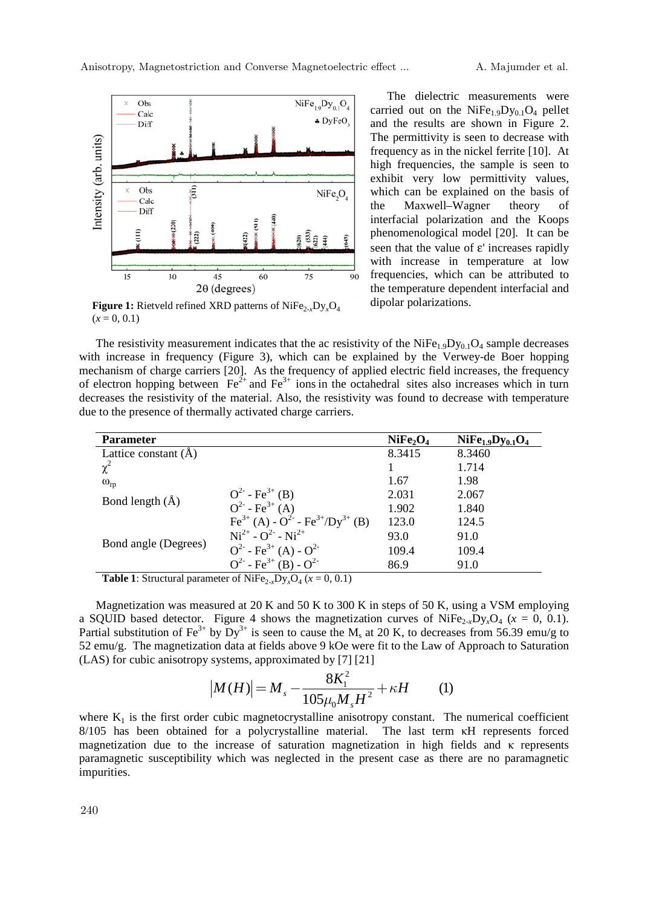

**Figure 1:** Rietveld refined XRD patterns of NiFe2-*x*Dy*x*O4  $(x = 0, 0.1)$ 

The dielectric measurements were carried out on the NiFe<sub>1.9</sub>Dy<sub>0.1</sub>O<sub>4</sub> pellet and the results are shown in Figure 2. The permittivity is seen to decrease with frequency as in the nickel ferrite [10]. At high frequencies, the sample is seen to exhibit very low permittivity values, which can be explained on the basis of the Maxwell–Wagner theory of interfacial polarization and the Koops phenomenological model [20]. It can be seen that the value of ε' increases rapidly with increase in temperature at low frequencies, which can be attributed to the temperature dependent interfacial and dipolar polarizations.

The resistivity measurement indicates that the ac resistivity of the NiFe<sub>1.9</sub>Dy<sub>0.1</sub>O<sub>4</sub> sample decreases with increase in frequency (Figure 3), which can be explained by the Verwey-de Boer hopping mechanism of charge carriers [20]. As the frequency of applied electric field increases, the frequency of electron hopping between  $Fe^{2+}$  and  $Fe^{3+}$  ions in the octahedral sites also increases which in turn decreases the resistivity of the material. Also, the resistivity was found to decrease with temperature due to the presence of thermally activated charge carriers.

| <b>Parameter</b>     |                                                                          | NiFe <sub>2</sub> O <sub>4</sub> | $NiFe1.9Dy0.1O4$ |
|----------------------|--------------------------------------------------------------------------|----------------------------------|------------------|
| Lattice constant (A) |                                                                          | 8.3415                           | 8.3460           |
| $\chi^2$             |                                                                          |                                  | 1.714            |
| $\omega_{rp}$        |                                                                          | 1.67                             | 1.98             |
| Bond length $(\AA)$  | $Q^{2}$ - Fe <sup>3+</sup> (B)                                           | 2.031                            | 2.067            |
|                      | $Q^{2}$ - Fe <sup>3+</sup> (A)                                           | 1.902                            | 1.840            |
| Bond angle (Degrees) | $Fe^{3+}(A) - O^{2-} - Fe^{3+}/Dy^{3+} (B)$                              | 123.0                            | 124.5            |
|                      | $Ni^{2+} - O^{2-} - Ni^{2+}$                                             | 93.0                             | 91.0             |
|                      | $Q^{2}$ - Fe <sup>3+</sup> (A) - $Q^{2}$                                 | 109.4                            | 109.4            |
|                      | $Q^2$ - Fe <sup>3+</sup> (B) - $Q^2$                                     | 86.9                             | 91.0             |
| . <i>. .</i>         | $\sim$ $\sim$ $\sim$ $\sim$ $\sim$ $\sim$<br>$\sim$ $\sim$ $\sim$ $\sim$ |                                  |                  |

**Table 1**: Structural parameter of NiFe<sub>2-*x*</sub>Dy<sub>*x*</sub>O<sub>4</sub> ( $x = 0, 0.1$ )

Magnetization was measured at 20 K and 50 K to 300 K in steps of 50 K, using a VSM employing a SQUID based detector. Figure 4 shows the magnetization curves of NiFe<sub>2-x</sub>Dy<sub>x</sub>O<sub>4</sub> ( $x = 0, 0.1$ ). Partial substitution of Fe<sup>3+</sup> by Dy<sup>3+</sup> is seen to cause the M<sub>s</sub> at 20 K, to decreases from 56.39 emu/g to 52 emu/g. The magnetization data at fields above 9 kOe were fit to the Law of Approach to Saturation (LAS) for cubic anisotropy systems, approximated by [7] [21]

$$
|M(H)| = M_s - \frac{8K_1^2}{105\mu_0 M_s H^2} + \kappa H
$$
 (1)

where  $K_1$  is the first order cubic magnetocrystalline anisotropy constant. The numerical coefficient 8/105 has been obtained for a polycrystalline material. The last term  $\kappa$ H represents forced magnetization due to the increase of saturation magnetization in high fields and  $\kappa$  represents paramagnetic susceptibility which was neglected in the present case as there are no paramagnetic impurities.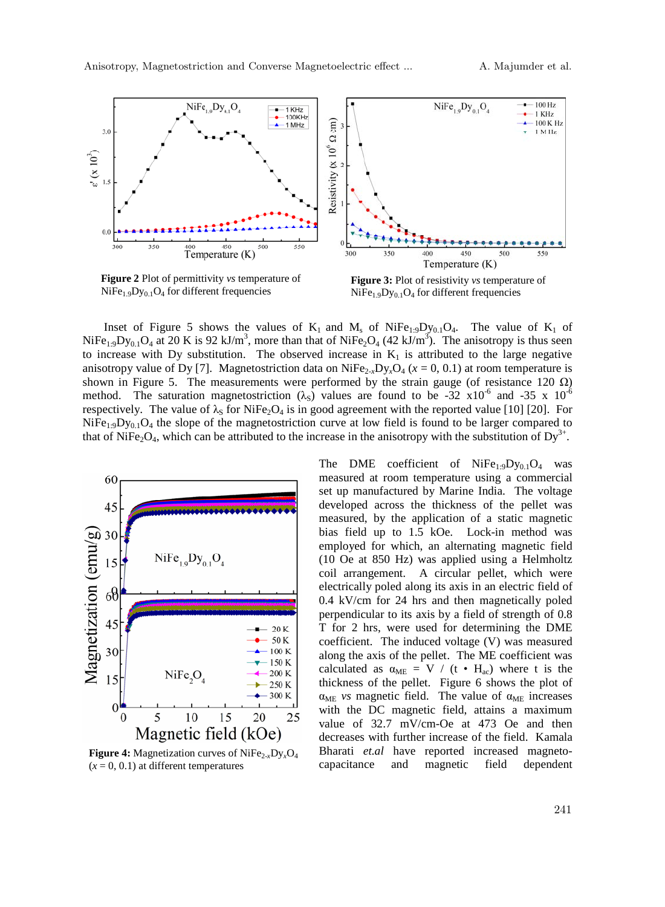

**Figure 2** Plot of permittivity *vs* temperature of  $NiFe<sub>1.9</sub>Dy<sub>0.1</sub>O<sub>4</sub>$  for different frequencies

**Figure 3:** Plot of resistivity *vs* temperature of  $NiFe<sub>1.9</sub>Dy<sub>0.1</sub>O<sub>4</sub>$  for different frequencies

Inset of Figure 5 shows the values of  $K_1$  and  $M_s$  of NiFe<sub>1:9</sub>Dy<sub>0.1</sub>O<sub>4</sub>. The value of  $K_1$  of NiFe<sub>1:9</sub>Dy<sub>0.1</sub>O<sub>4</sub> at 20 K is 92 kJ/m<sup>3</sup>, more than that of NiFe<sub>2</sub>O<sub>4</sub> (42 kJ/m<sup>3</sup>). The anisotropy is thus seen to increase with Dy substitution. The observed increase in  $K_1$  is attributed to the large negative anisotropy value of Dy [7]. Magnetostriction data on  $NiFe_{2x}D_yO_4$  ( $x = 0, 0.1$ ) at room temperature is shown in Figure 5. The measurements were performed by the strain gauge (of resistance 120  $\Omega$ ) method. The saturation magnetostriction ( $\lambda$ <sub>S</sub>) values are found to be -32 x10<sup>-6</sup> and -35 x 10<sup>-6</sup> respectively. The value of  $\lambda_S$  for NiFe<sub>2</sub>O<sub>4</sub> is in good agreement with the reported value [10] [20]. For  $NiFe<sub>1:9</sub>Dy<sub>0.1</sub>O<sub>4</sub>$  the slope of the magnetostriction curve at low field is found to be larger compared to that of NiFe<sub>2</sub>O<sub>4</sub>, which can be attributed to the increase in the anisotropy with the substitution of Dy<sup>3+</sup>.



**Figure 4:** Magnetization curves of NiFe<sub>2-*x*</sub>Dy<sub>*x*</sub>O<sub>4</sub>  $(x = 0, 0.1)$  at different temperatures

The DME coefficient of NiFe<sub>1:9</sub>Dy<sub>0.1</sub>O<sub>4</sub> was measured at room temperature using a commercial set up manufactured by Marine India. The voltage developed across the thickness of the pellet was measured, by the application of a static magnetic bias field up to 1.5 kOe. Lock-in method was employed for which, an alternating magnetic field (10 Oe at 850 Hz) was applied using a Helmholtz coil arrangement. A circular pellet, which were electrically poled along its axis in an electric field of 0.4 kV/cm for 24 hrs and then magnetically poled perpendicular to its axis by a field of strength of 0.8 T for 2 hrs, were used for determining the DME coefficient. The induced voltage (V) was measured along the axis of the pellet. The ME coefficient was calculated as  $\alpha_{ME} = V / (t \cdot H_{ac})$  where t is the thickness of the pellet. Figure 6 shows the plot of  $\alpha_{ME}$  *vs* magnetic field. The value of  $\alpha_{ME}$  increases with the DC magnetic field, attains a maximum value of 32.7 mV/cm-Oe at 473 Oe and then decreases with further increase of the field. Kamala Bharati *et.al* have reported increased magnetocapacitance and magnetic field dependent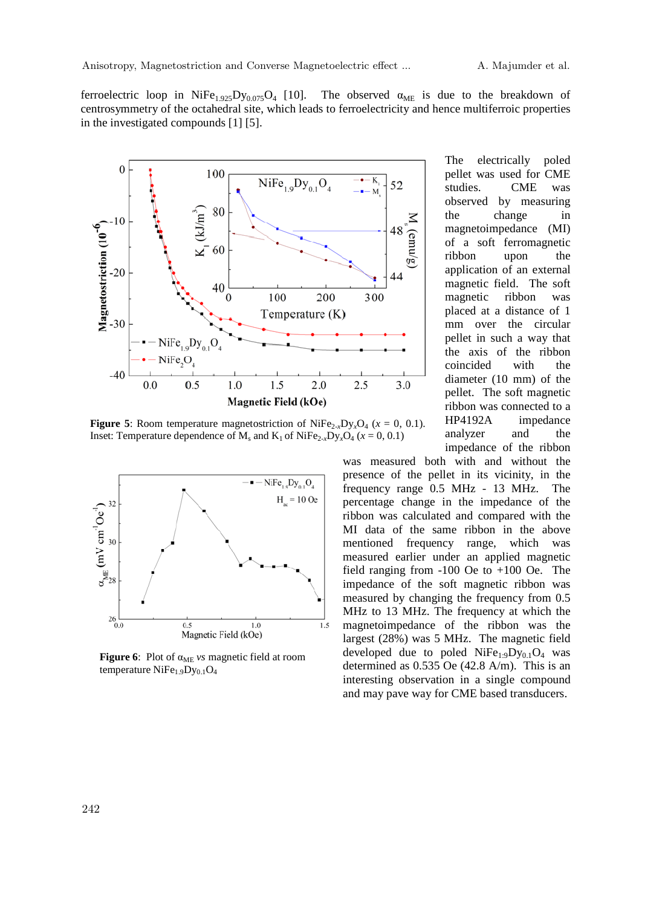ferroelectric loop in NiFe<sub>1.925</sub>Dy<sub>0.075</sub>O<sub>4</sub> [10]. The observed  $\alpha_{MF}$  is due to the breakdown of centrosymmetry of the octahedral site, which leads to ferroelectricity and hence multiferroic properties in the investigated compounds [1] [5].



**Figure 5**: Room temperature magnetostriction of NiFe<sub>2-*x*</sub>Dy<sub>*x*</sub>O<sub>4</sub> ( $x = 0, 0.1$ ). Inset: Temperature dependence of  $M_s$  and  $K_1$  of  $NiFe_{2-x}Dy_xO_4$  ( $x = 0, 0.1$ )



**Figure 6**: Plot of  $\alpha_{ME}$  *vs* magnetic field at room temperature  $NiFe<sub>1.9</sub>Dy<sub>0.1</sub>O<sub>4</sub>$ 

The electrically poled pellet was used for CME studies. CME was observed by measuring the change in magnetoimpedance (MI) of a soft ferromagnetic ribbon upon the application of an external magnetic field. The soft magnetic ribbon was placed at a distance of 1 mm over the circular pellet in such a way that the axis of the ribbon coincided with the diameter (10 mm) of the pellet. The soft magnetic ribbon was connected to a HP4192A impedance analyzer and the impedance of the ribbon

was measured both with and without the presence of the pellet in its vicinity, in the frequency range 0.5 MHz - 13 MHz. The percentage change in the impedance of the ribbon was calculated and compared with the MI data of the same ribbon in the above mentioned frequency range, which was measured earlier under an applied magnetic field ranging from -100 Oe to +100 Oe. The impedance of the soft magnetic ribbon was measured by changing the frequency from 0.5 MHz to 13 MHz. The frequency at which the magnetoimpedance of the ribbon was the largest (28%) was 5 MHz. The magnetic field developed due to poled  $NiFe<sub>1:9</sub>Dy<sub>0.1</sub>O<sub>4</sub>$  was determined as 0.535 Oe (42.8 A/m). This is an interesting observation in a single compound and may pave way for CME based transducers.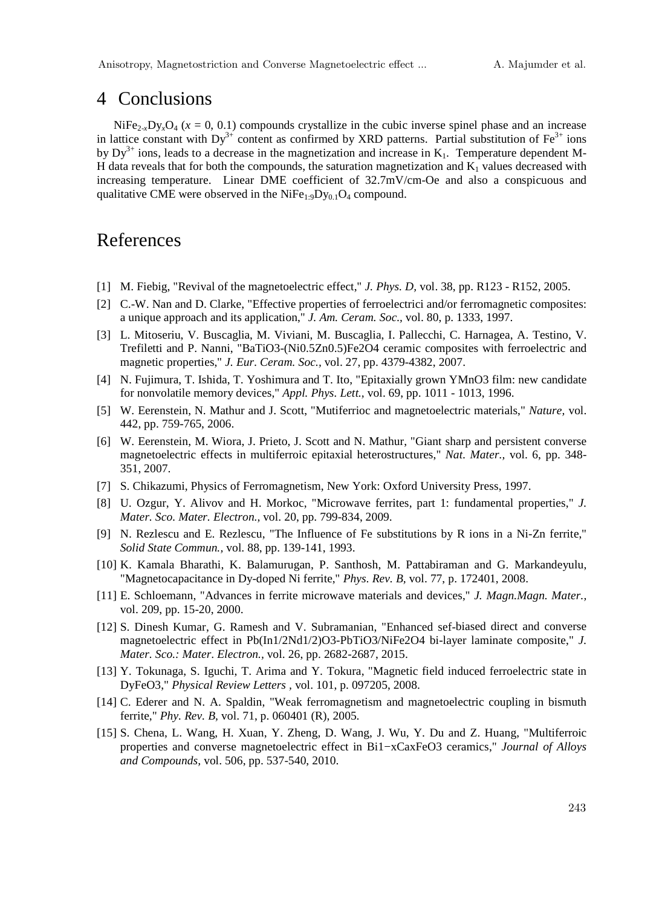#### 4 Conclusions

 $NiFe<sub>2</sub>, Dy<sub>4</sub>(x = 0, 0.1)$  compounds crystallize in the cubic inverse spinel phase and an increase in lattice constant with  $Dy^{3+}$  content as confirmed by XRD patterns. Partial substitution of Fe<sup>3+</sup> ions by  $Dy^{3+}$  ions, leads to a decrease in the magnetization and increase in K<sub>1</sub>. Temperature dependent M-H data reveals that for both the compounds, the saturation magnetization and  $K_1$  values decreased with increasing temperature. Linear DME coefficient of 32.7mV/cm-Oe and also a conspicuous and qualitative CME were observed in the  $NiFe<sub>1:9</sub>Dy<sub>0.1</sub>O<sub>4</sub>$  compound.

# References

- [1] M. Fiebig, "Revival of the magnetoelectric effect," *J. Phys. D,* vol. 38, pp. R123 R152, 2005.
- [2] C.-W. Nan and D. Clarke, "Effective properties of ferroelectrici and/or ferromagnetic composites: a unique approach and its application," *J. Am. Ceram. Soc.,* vol. 80, p. 1333, 1997.
- [3] L. Mitoseriu, V. Buscaglia, M. Viviani, M. Buscaglia, I. Pallecchi, C. Harnagea, A. Testino, V. Trefiletti and P. Nanni, "BaTiO3-(Ni0.5Zn0.5)Fe2O4 ceramic composites with ferroelectric and magnetic properties," *J. Eur. Ceram. Soc.,* vol. 27, pp. 4379-4382, 2007.
- [4] N. Fujimura, T. Ishida, T. Yoshimura and T. Ito, "Epitaxially grown YMnO3 film: new candidate for nonvolatile memory devices," *Appl. Phys. Lett.,* vol. 69, pp. 1011 - 1013, 1996.
- [5] W. Eerenstein, N. Mathur and J. Scott, "Mutiferrioc and magnetoelectric materials," *Nature,* vol. 442, pp. 759-765, 2006.
- [6] W. Eerenstein, M. Wiora, J. Prieto, J. Scott and N. Mathur, "Giant sharp and persistent converse magnetoelectric effects in multiferroic epitaxial heterostructures," *Nat. Mater.,* vol. 6, pp. 348- 351, 2007.
- [7] S. Chikazumi, Physics of Ferromagnetism, New York: Oxford University Press, 1997.
- [8] U. Ozgur, Y. Alivov and H. Morkoc, "Microwave ferrites, part 1: fundamental properties," *J. Mater. Sco. Mater. Electron.,* vol. 20, pp. 799-834, 2009.
- [9] N. Rezlescu and E. Rezlescu, "The Influence of Fe substitutions by R ions in a Ni-Zn ferrite," *Solid State Commun.,* vol. 88, pp. 139-141, 1993.
- [10] K. Kamala Bharathi, K. Balamurugan, P. Santhosh, M. Pattabiraman and G. Markandeyulu, "Magnetocapacitance in Dy-doped Ni ferrite," *Phys. Rev. B,* vol. 77, p. 172401, 2008.
- [11] E. Schloemann, "Advances in ferrite microwave materials and devices," *J. Magn.Magn. Mater.,*  vol. 209, pp. 15-20, 2000.
- [12] S. Dinesh Kumar, G. Ramesh and V. Subramanian, "Enhanced sef-biased direct and converse magnetoelectric effect in Pb(In1/2Nd1/2)O3-PbTiO3/NiFe2O4 bi-layer laminate composite," *J. Mater. Sco.: Mater. Electron.,* vol. 26, pp. 2682-2687, 2015.
- [13] Y. Tokunaga, S. Iguchi, T. Arima and Y. Tokura, "Magnetic field induced ferroelectric state in DyFeO3," *Physical Review Letters ,* vol. 101, p. 097205, 2008.
- [14] C. Ederer and N. A. Spaldin, "Weak ferromagnetism and magnetoelectric coupling in bismuth ferrite," *Phy. Rev. B,* vol. 71, p. 060401 (R), 2005.
- [15] S. Chena, L. Wang, H. Xuan, Y. Zheng, D. Wang, J. Wu, Y. Du and Z. Huang, "Multiferroic properties and converse magnetoelectric effect in Bi1−xCaxFeO3 ceramics," *Journal of Alloys and Compounds,* vol. 506, pp. 537-540, 2010.